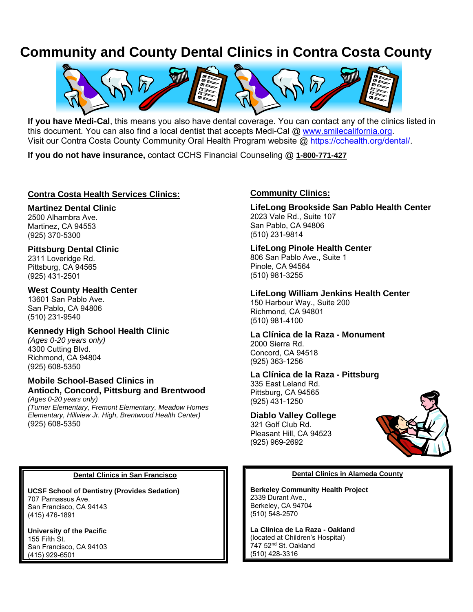# **Community and County Dental Clinics in Contra Costa County**



**If you have Medi-Cal**, this means you also have dental coverage. You can contact any of the clinics listed in this document. You can also find a local dentist that accepts Medi-Cal @ [www.smilecalifornia.org.](http://www.smilecalifornia.org/) Visit our Contra Costa County Community Oral Health Program website @ [https://cchealth.org/dental/.](https://cchealth.org/dental/)

**If you do not have insurance,** contact CCHS Financial Counseling @ **1-800-771-427**

## **Contra Costa Health Services Clinics:**

## **Martinez Dental Clinic**

2500 Alhambra Ave. Martinez, CA 94553 (925) 370-5300

## **Pittsburg Dental Clinic**

2311 Loveridge Rd. Pittsburg, CA 94565 (925) 431-2501

## **West County Health Center**

13601 San Pablo Ave. San Pablo, CA 94806 (510) 231-9540

## **Kennedy High School Health Clinic**

*(Ages 0-20 years only)* 4300 Cutting Blvd. Richmond, CA 94804 (925) 608-5350

## **Mobile School-Based Clinics in Antioch, Concord, Pittsburg and Brentwood**

*(Ages 0-20 years only) (Turner Elementary, Fremont Elementary, Meadow Homes Elementary, Hillview Jr. High, Brentwood Health Center)*  (925) 608-5350

## **Community Clinics:**

**LifeLong Brookside San Pablo Health Center** 2023 Vale Rd., Suite 107 San Pablo, CA 94806 (510) 231-9814

#### **LifeLong Pinole Health Center** 806 San Pablo Ave., Suite 1 Pinole, CA 94564 (510) 981-3255

#### **LifeLong William Jenkins Health Center** 150 Harbour Way., Suite 200 Richmond, CA 94801

**La Clínica de la Raza - Monument** 2000 Sierra Rd. Concord, CA 94518 (925) 363-1256

# **La Clínica de la Raza - Pittsburg** 335 East Leland Rd.

Pittsburg, CA 94565 (925) 431-1250

(510) 981-4100

## **Diablo Valley College**

321 Golf Club Rd. Pleasant Hill, CA 94523 (925) 969-2692



#### **Dental Clinics in Alameda County**

**Berkeley Community Health Project** 2339 Durant Ave., Berkeley, CA 94704 (510) 548-2570

**La Clínica de La Raza - Oakland** (located at Children's Hospital) 747 52nd St. Oakland (510) 428-3316

#### **Dental Clinics in San Francisco**

**UCSF School of Dentistry (Provides Sedation)** 707 Parnassus Ave. San Francisco, CA 94143 (415) 476-1891

**University of the Pacific** 155 Fifth St. San Francisco, CA 94103 (415) 929-6501